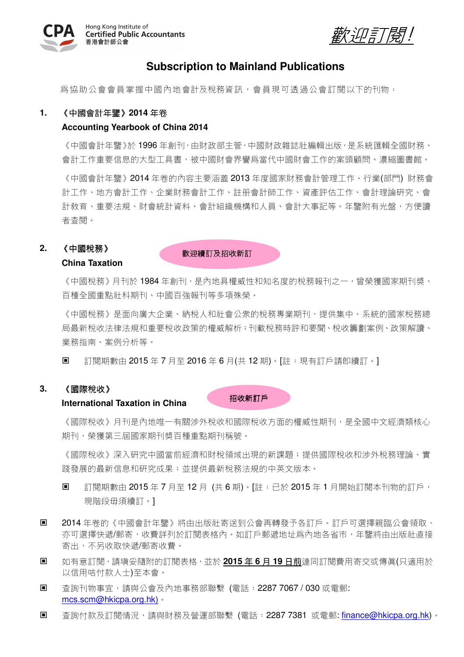

歡迎訂閱!

## **Subscription to Mainland Publications**

為協助公會會員掌握中國內地會計及稅務資訊,會員現可透過公會訂閱以下的刊物:

### **1.** 《中國會計年鑒》**2014** 年卷

### **Accounting Yearbook of China 2014**

《中國會計年鑒》於 1996 年創刊,由財政部主管,中國財政雜誌社編輯出版,是系統匯輯全國財務、 會計工作重要信息的大型工具書,被中國財會界譽為當代中國財會工作的案頭顧問、濃縮圖書館。

《中國會計年鑒》2014 年卷的內容主要涵蓋 2013 年度國家財務會計管理工作、行業(部門) 財務會 計工作、地方會計工作、企業財務會計工作、註冊會計師工作、資產評估工作、會計理論研究、會 計教育、重要法規、財會統計資料、會計組織機構和人員、會計大事記等。年鑒附有光盤,方便讀 者查閱。

## **2.** 《中國稅務》

### **China Taxation**

歡迎續訂及招收新訂

《中國稅務》月刊於 1984 年創刊,是內地具權威性和知名度的稅務報刊之一,曾榮獲國家期刊獎、 百種全國重點社科期刊、中國百強報刊等多項殊榮。

《中國稅務》是面向廣大企業、納稅人和社會公衆的稅務專業期刊,提供集中、系統的國家稅務總 局最新稅收法律法規和重要稅收政策的權威解析;刊載稅務時評和要聞、稅收籌劃案例、政策解讀、 業務指南、案例分析等。

■ 訂閱期數由 2015 年 7 月至 2016 年 6 月(共 12 期) 。 [註:現有訂戶請卽續訂。]

## **3.** 《國際稅收》

#### **International Taxation in China**

《國際稅收》月刊是內地唯一有關涉外稅收和國際稅收方面的權威性期刊,是全國中文經濟類核心 期刊,榮獲第三屆國家期刊獎百種重點期刊稱號。

招收新訂戶

《國際稅收》深入研究中國當前經濟和財稅領域出現的新課題;提供國際稅收和涉外稅務理論、實 踐發展的最新信息和研究成果;並提供最新稅務法規的中英文版本。

- 訂閱期數由 2015 年 7 月至 12 月 (共 6 期)。[註:已於 2015 年 1 月開始訂閱本刊物的訂戶, 現階段毋須續訂。]
- 2014 年卷的《中國會計年鑒》將由出版社寄送到公會再轉發予各訂戶。訂戶可選擇親臨公會領取, 亦可選擇快遞/郵寄,收費詳列於訂閱表格內。如訂戶郵遞地址為內地各省市,年鑒將由出版社直接 寄出,不另收取快遞/郵寄收費。
- 如有意訂閱,請填妥隨附的訂閱表格,並於 **2015** 年 **6** 月 **19** 日前連同訂閱費用寄交或傳真(只適用於 以信用咭付款人士)至本會。
- - 杳詢刊物事宜,請與公會及內地事務部聯繫 (電話:2287 7067 / 030 或電郵: mcs.scm@hkicpa.org.hk)。
- 查詢付款及訂閱情況,請與財務及營運部聯繫 (電話:2287 7381 或電郵: finance@hkicpa.org.hk)。